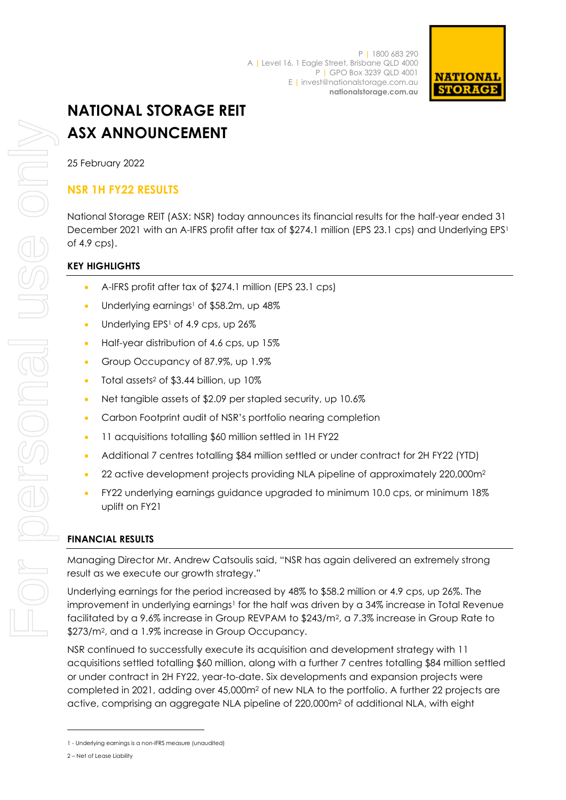

# **NATIONAL STORAGE REIT ASX ANNOUNCEMENT**

25 February 2022

## **NSR 1H FY22 RESULTS**

National Storage REIT (ASX: NSR) today announces its financial results for the half-year ended 31 December 2021 with an A-IFRS profit after tax of \$274.1 million (EPS 23.1 cps) and Underlying EPS<sup>1</sup> of 4.9 cps).

## **KEY HIGHLIGHTS**

- A-IFRS profit after tax of \$274.1 million (EPS 23.1 cps)
- Underlying earnings<sup>1</sup> of \$58.2m, up 48%
- Underlying EPS<sup>1</sup> of 4.9 cps, up 26%
- Half-year distribution of 4.6 cps, up 15%
- Group Occupancy of 87.9%, up 1.9%
- Total assets<sup>2</sup> of \$3.44 billion, up 10%
- Net tangible assets of \$2.09 per stapled security, up 10.6%
- Carbon Footprint audit of NSR's portfolio nearing completion
- 11 acquisitions totalling \$60 million settled in 1H FY22
- Additional 7 centres totalling \$84 million settled or under contract for 2H FY22 (YTD)
- 22 active development projects providing NLA pipeline of approximately 220,000m<sup>2</sup>
- FY22 underlying earnings guidance upgraded to minimum 10.0 cps, or minimum 18% uplift on FY21

## **FINANCIAL RESULTS**

Managing Director Mr. Andrew Catsoulis said, "NSR has again delivered an extremely strong result as we execute our growth strategy."

Underlying earnings for the period increased by 48% to \$58.2 million or 4.9 cps, up 26%. The improvement in underlying earnings<sup>1</sup> for the half was driven by a 34% increase in Total Revenue facilitated by a 9.6% increase in Group REVPAM to \$243/m2, a 7.3% increase in Group Rate to \$273/m2, and a 1.9% increase in Group Occupancy.

NSR continued to successfully execute its acquisition and development strategy with 11 acquisitions settled totalling \$60 million, along with a further 7 centres totalling \$84 million settled or under contract in 2H FY22, year-to-date. Six developments and expansion projects were completed in 2021, adding over 45,000m<sup>2</sup> of new NLA to the portfolio. A further 22 projects are active, comprising an aggregate NLA pipeline of 220,000m<sup>2</sup> of additional NLA, with eight

<sup>1</sup> - Underlying earnings is a non-IFRS measure (unaudited)

<sup>2</sup> – Net of Lease Liability